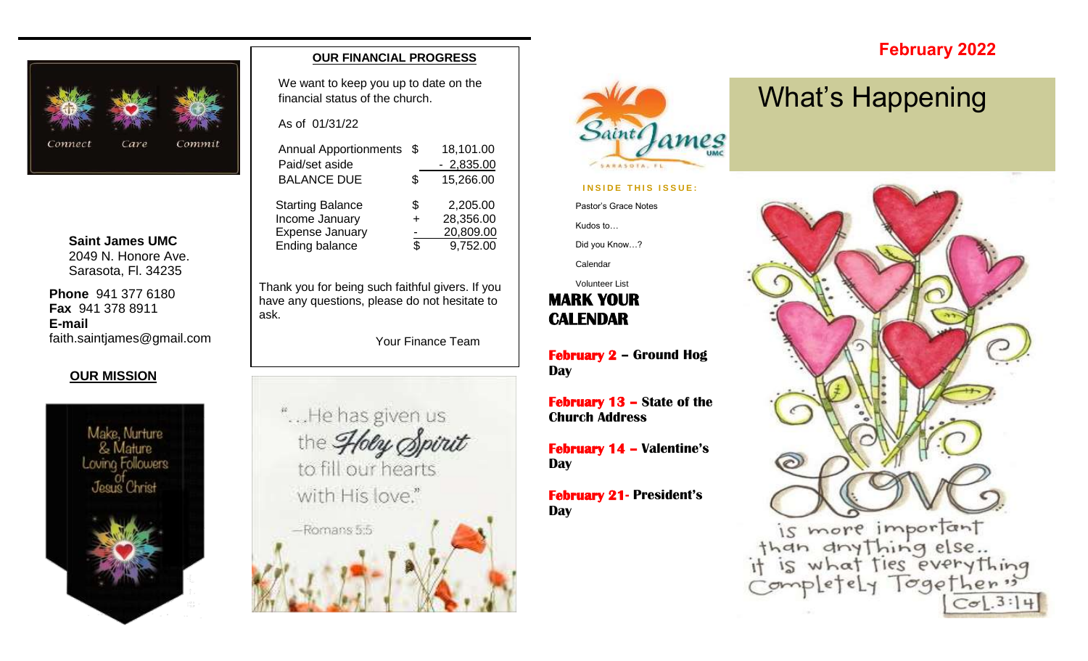

**Saint James UMC** 2049 N. Honore Ave. Sarasota, Fl. 34235

**Phone** 941 377 6180 **Fax** 941 378 8911 **E-mail** faith.saintjames@gmail.com

#### **OUR MISSION**



#### **OUR FINANCIAL PROGRESS**

We want to keep you up to date on the financial status of the church.

As of 01/31/22

| <b>Annual Apportionments</b> | \$ | 18,101.00   |
|------------------------------|----|-------------|
| Paid/set aside               |    | $-2,835.00$ |
| <b>BALANCE DUE</b>           | \$ | 15,266.00   |
| <b>Starting Balance</b>      | S  | 2,205.00    |
| Income January               |    | 28,356.00   |
| <b>Expense January</b>       |    | 20,809.00   |
| Ending balance               | ዳ  | 9,752.00    |
|                              |    |             |

Thank you for being such faithful givers. If you have any questions, please do not hesitate to ask.

Your Finance Team





#### **INSIDE THIS ISSUE:**

Pastor's Grace Notes

Kudos to…

Did you Know…?

Calendar

**MARK YOUR**  Volunteer List

**CALENDAR** 

**February 2 – Ground Hog Day**

**February 13 – State of the Church Address**

**February 14 – Valentine's Day**

**February 21- President's Day**

## What's Happening

**February 2022**

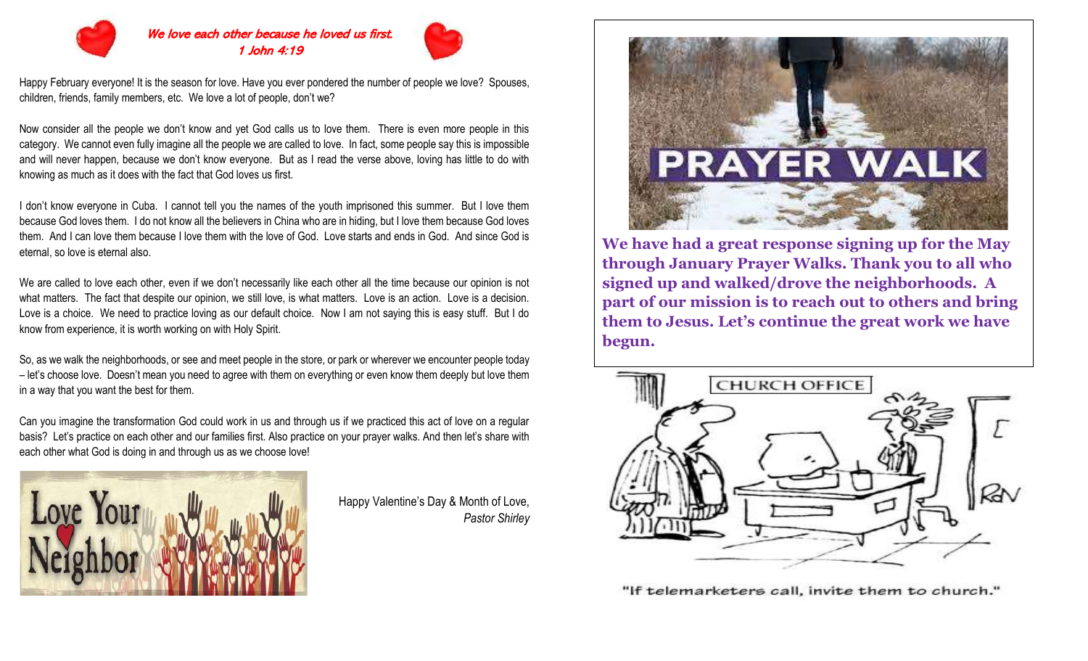

#### We love each other because he loved us first. 1 John 4:19



Happy February everyone! It is the season for love. Have you ever pondered the number of people we love? Spouses, children, friends, family members, etc. We love a lot of people, don't we?

Now consider all the people we don't know and yet God calls us to love them. There is even more people in this category. We cannot even fully imagine all the people we are called to love. In fact, some people say this is impossible and will never happen, because we don't know everyone. But as I read the verse above, loving has little to do with knowing as much as it does with the fact that God loves us first.

I don't know everyone in Cuba. I cannot tell you the names of the youth imprisoned this summer. But I love them because God loves them. I do not know all the believers in China who are in hiding, but I love them because God loves them. And I can love them because I love them with the love of God. Love starts and ends in God. And since God is eternal, so love is eternal also.

We are called to love each other, even if we don't necessarily like each other all the time because our opinion is not what matters. The fact that despite our opinion, we still love, is what matters. Love is an action. Love is a decision. Love is a choice. We need to practice loving as our default choice. Now I am not saying this is easy stuff. But I do know from experience, it is worth working on with Holy Spirit.

So, as we walk the neighborhoods, or see and meet people in the store, or park or wherever we encounter people today – let's choose love. Doesn't mean you need to agree with them on everything or even know them deeply but love them in a way that you want the best for them.

Can you imagine the transformation God could work in us and through us if we practiced this act of love on a regular basis? Let's practice on each other and our families first. Also practice on your prayer walks. And then let's share with each other what God is doing in and through us as we choose love!



Happy Valentine's Day & Month of Love, *Pastor Shirley*



**We have had a great response signing up for the May through January Prayer Walks. Thank you to all who signed up and walked/drove the neighborhoods. A part of our mission is to reach out to others and bring them to Jesus. Let's continue the great work we have begun.**



"If telemarketers call, invite them to church."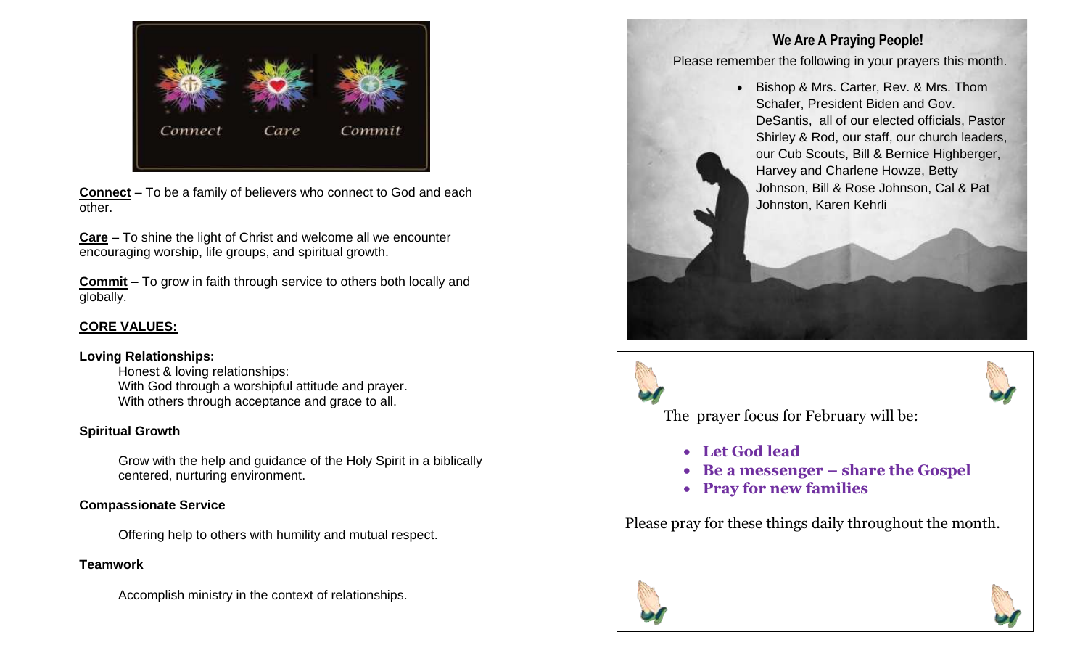

**Connect** – To be a family of believers who connect to God and each other.

**Care** – To shine the light of Christ and welcome all we encounter encouraging worship, life groups, and spiritual growth.

**Commit** – To grow in faith through service to others both locally and globally.

### **CORE VALUES:**

#### **Loving Relationships:**

Honest & loving relationships: With God through a worshipful attitude and prayer. With others through acceptance and grace to all.

#### **Spiritual Growth**

Grow with the help and guidance of the Holy Spirit in a biblically centered, nurturing environment.

### **Compassionate Service**

Offering help to others with humility and mutual respect.

## **Teamwork**

Accomplish ministry in the context of relationships.

## **We Are A Praying People!**

Please remember the following in your prayers this month.

• Bishop & Mrs. Carter, Rev. & Mrs. Thom Schafer, President Biden and Gov. DeSantis, all of our elected officials, Pastor Shirley & Rod, our staff, our church leaders, our Cub Scouts, Bill & Bernice Highberger, Harvey and Charlene Howze, Betty Johnson, Bill & Rose Johnson, Cal & Pat Johnston, Karen Kehrli





The prayer focus for February will be:

- **Let God lead**
- **Be a messenger – share the Gospel**
- **Pray for new families**

Please pray for these things daily throughout the month.



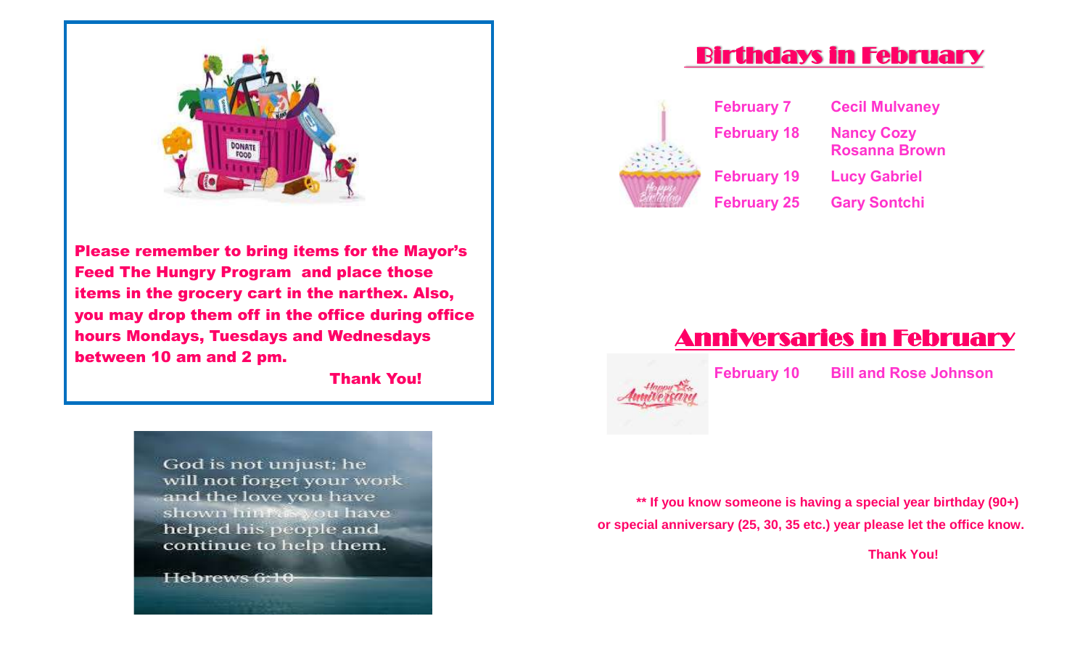

Please remember to bring items for the Mayor's Feed The Hungry Program and place those items in the grocery cart in the narthex. Also, you may drop them off in the office during office hours Mondays, Tuesdays and Wednesdays between 10 am and 2 pm.

Thank You!

God is not unjust; he will not forget your work and the love you have shown hinfoswou have helped his people and continue to help them.

Hebrews 6:10

## Birthdays in February



**February 7 Cecil Mulvaney February 18 Nancy Cozy Rosanna Brown February 19 Lucy Gabriel February 25 Gary Sontchi**



**February 10 Bill and Rose Johnson**

**\*\* If you know someone is having a special year birthday (90+) or special anniversary (25, 30, 35 etc.) year please let the office know.** 

 **Thank You!**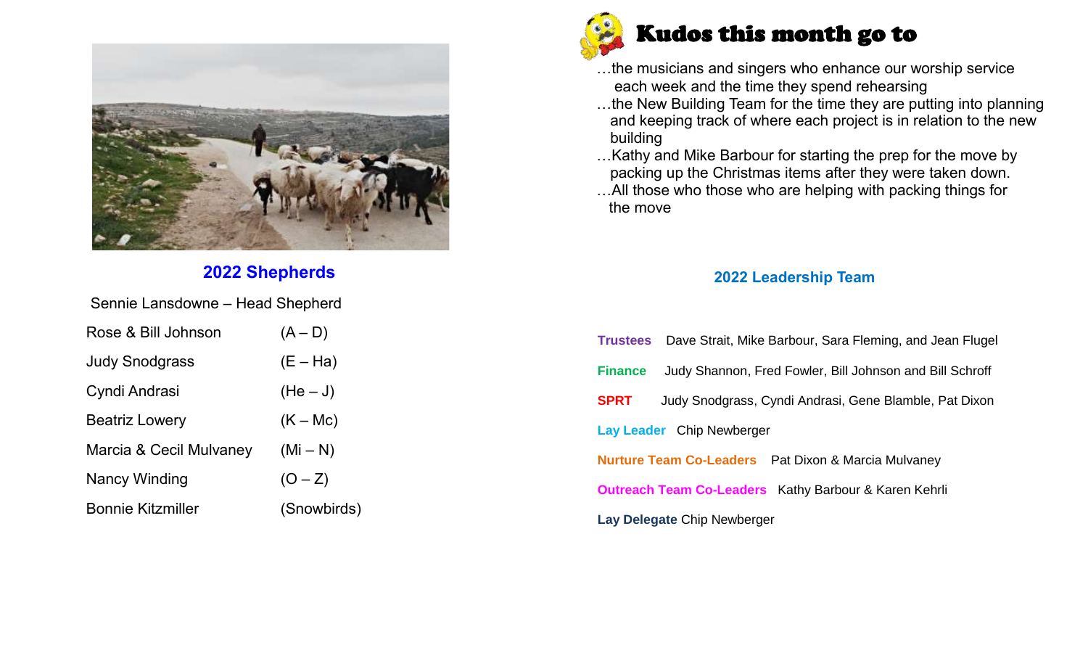

## **2022 Shepherds**

Sennie Lansdowne – Head Shepherd

| Rose & Bill Johnson      | $(A-D)$     |
|--------------------------|-------------|
| <b>Judy Snodgrass</b>    | $(E - Ha)$  |
| Cyndi Andrasi            | $(He-J)$    |
| <b>Beatriz Lowery</b>    | $(K - Mc)$  |
| Marcia & Cecil Mulvaney  | $(Mi - N)$  |
| Nancy Winding            | $(O - Z)$   |
| <b>Bonnie Kitzmiller</b> | (Snowbirds) |



- …the musicians and singers who enhance our worship service each week and the time they spend rehearsing
- …the New Building Team for the time they are putting into planning and keeping track of where each project is in relation to the new building
- …Kathy and Mike Barbour for starting the prep for the move by packing up the Christmas items after they were taken down.
- …All those who those who are helping with packing things for the move

## **2022 Leadership Team**

|                                                                       | <b>Trustees</b> Dave Strait, Mike Barbour, Sara Fleming, and Jean Flugel |  |  |  |  |  |
|-----------------------------------------------------------------------|--------------------------------------------------------------------------|--|--|--|--|--|
| <b>Finance</b>                                                        | Judy Shannon, Fred Fowler, Bill Johnson and Bill Schroff                 |  |  |  |  |  |
| <b>SPRT</b><br>Judy Snodgrass, Cyndi Andrasi, Gene Blamble, Pat Dixon |                                                                          |  |  |  |  |  |
| Lay Leader Chip Newberger                                             |                                                                          |  |  |  |  |  |
| <b>Nurture Team Co-Leaders</b> Pat Dixon & Marcia Mulvaney            |                                                                          |  |  |  |  |  |
| <b>Outreach Team Co-Leaders</b> Kathy Barbour & Karen Kehrli          |                                                                          |  |  |  |  |  |
| Lay Delegate Chip Newberger                                           |                                                                          |  |  |  |  |  |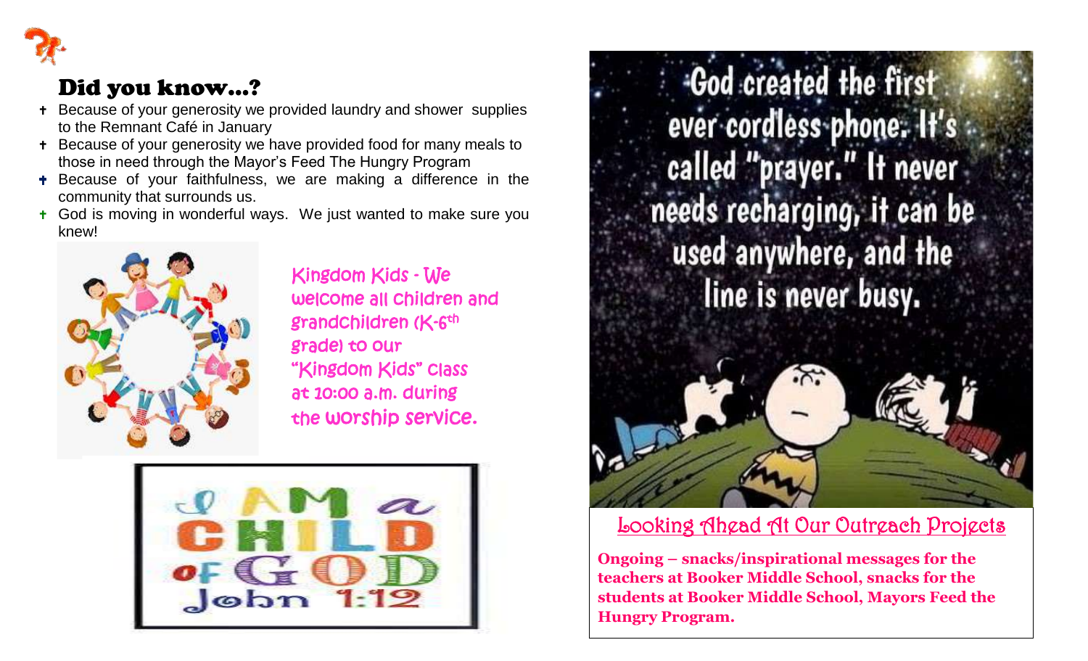

## Did you know…?

- Because of your generosity we provided laundry and shower supplies to the Remnant Café in January
- Because of your generosity we have provided food for many meals to those in need through the Mayor's Feed The Hungry Program
- **+** Because of your faithfulness, we are making a difference in the community that surrounds us.
- **t** God is moving in wonderful ways. We just wanted to make sure you knew!



 Kingdom Kids - We welcome all children and grade) to our "Kingdom Kids" class at 10:00 a.m. during the worship service.



God created the first ever cordless phone. It's called "prayer." It never needs recharging, it can be used anywhere, and the line is never busy.



## Looking Ahead At Our Outreach Projects

**Ongoing – snacks/inspirational messages for the teachers at Booker Middle School, snacks for the students at Booker Middle School, Mayors Feed the Hungry Program.**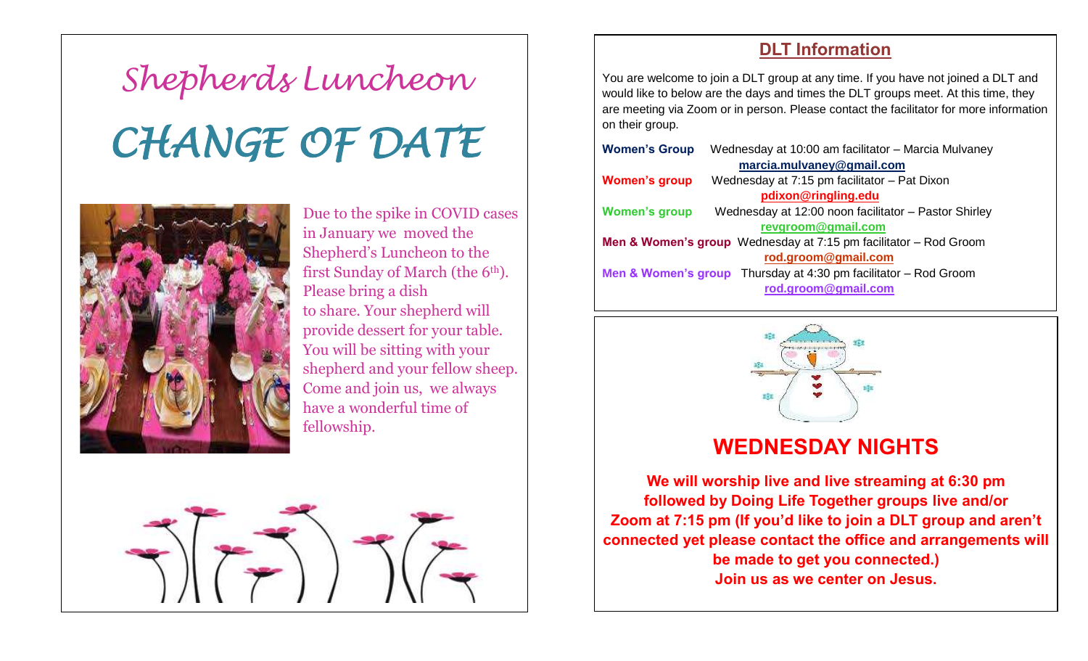# *Shepherds Luncheon CHANGE OF DATE*



Due to the spike in COVID cases in January we moved the Shepherd's Luncheon to the first Sunday of March (the 6<sup>th</sup>). Please bring a dish to share. Your shepherd will provide dessert for your table. You will be sitting with your shepherd and your fellow sheep. Come and join us, we always have a wonderful time of fellowship.



## **DLT Information**

You are welcome to join a DLT group at any time. If you have not joined a DLT and would like to below are the days and times the DLT groups meet. At this time, they are meeting via Zoom or in person. Please contact the facilitator for more information on their group.

| <b>Women's Group</b>                                                            | Wednesday at 10:00 am facilitator - Marcia Mulvaney                          |  |  |  |  |  |  |
|---------------------------------------------------------------------------------|------------------------------------------------------------------------------|--|--|--|--|--|--|
| marcia.mulvaney@gmail.com                                                       |                                                                              |  |  |  |  |  |  |
| <b>Women's group</b>                                                            | Wednesday at 7:15 pm facilitator - Pat Dixon                                 |  |  |  |  |  |  |
|                                                                                 | pdixon@ringling.edu                                                          |  |  |  |  |  |  |
| <b>Women's group</b>                                                            | Wednesday at 12:00 noon facilitator - Pastor Shirley                         |  |  |  |  |  |  |
|                                                                                 | revgroom@gmail.com                                                           |  |  |  |  |  |  |
| <b>Men &amp; Women's group</b> Wednesday at $7:15$ pm facilitator $-$ Rod Groom |                                                                              |  |  |  |  |  |  |
|                                                                                 | rod.groom@gmail.com                                                          |  |  |  |  |  |  |
|                                                                                 | <b>Men &amp; Women's group</b> Thursday at 4:30 pm facilitator $-$ Rod Groom |  |  |  |  |  |  |
|                                                                                 | rod.groom@gmail.com                                                          |  |  |  |  |  |  |
|                                                                                 |                                                                              |  |  |  |  |  |  |



## **WEDNESDAY NIGHTS**

**We will worship live and live streaming at 6:30 pm followed by Doing Life Together groups live and/or Zoom at 7:15 pm (If you'd like to join a DLT group and aren't connected yet please contact the office and arrangements will be made to get you connected.) Join us as we center on Jesus.**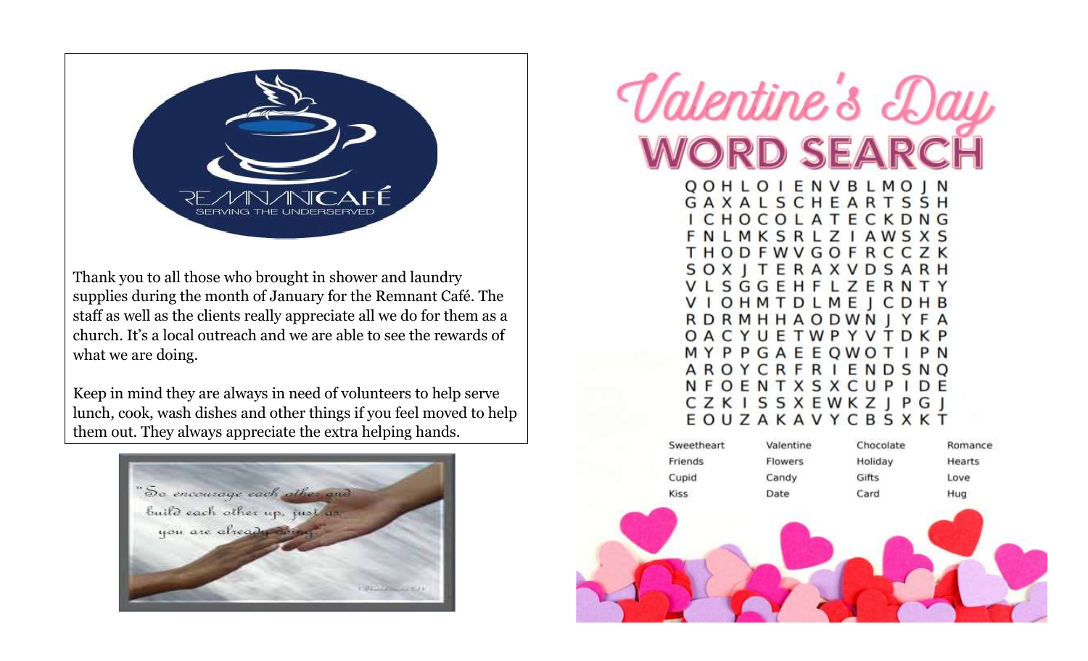

Thank you to all those who brought in shower and laundry supplies during the month of January for the Remnant Café. The staff as well as the clients really appreciate all we do for them as a church. It's a local outreach and we are able to see the rewards of what we are doing.

Keep in mind they are always in need of volunteers to help serve lunch, cook, wash dishes and other things if you feel moved to help them out. They always appreciate the extra helping hands.



# Valentine's Da **ORD SEARC**

QOHLOIENVBLMOJN GAXALSCHEARTSSH CHOCOLATECKDNG LMKSRLZIAWSXS **THODFWVGOFRCCZK SOXITERAXVDSARH** VLSGGEHFLZERNTY **VIOHMTDLMEJCDHB RDRMHHAODWNJYFA** OACYUETWPYVTDKP MYPPGAEEOWOT P N AROYCRFRIENDSNO NFOENTXSXCUPIDE **CZKISSXEWKZJPGJ** EOUZAKAVYCBSXKT

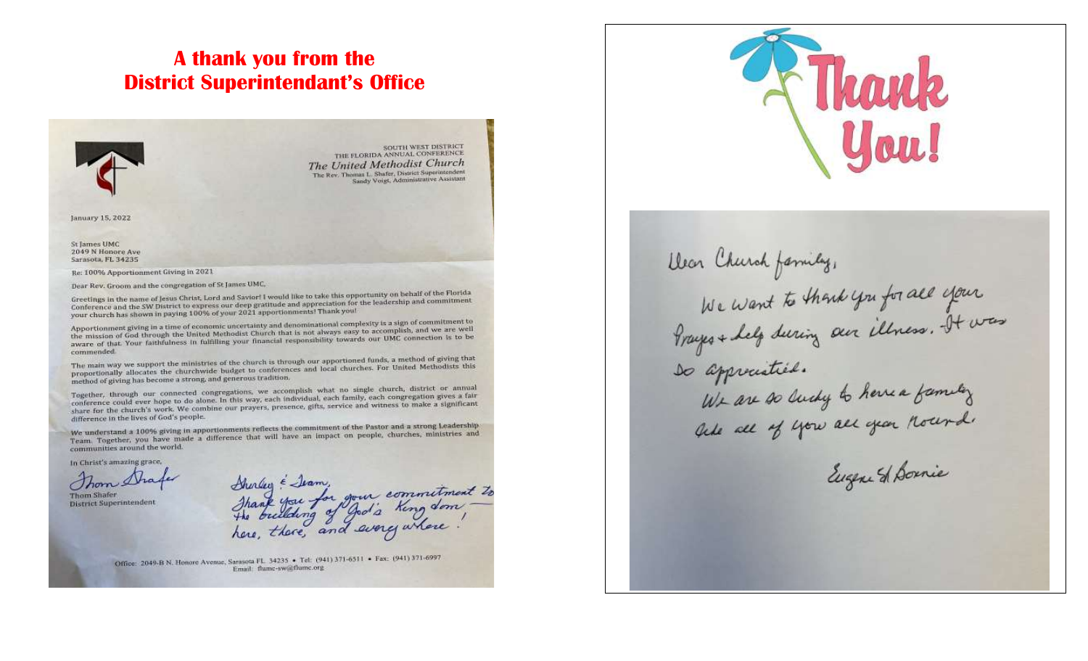## **A thank you from the District Superintendant's Office**



SOUTH WEST DISTRICT THE FLORIDA ANNUAL CONFERENCE The United Methodist Church The Rev. Thomas L. Shafer, District Superintendent Sandy Voigt, Administrative Assistant

January 15, 2022

St James UMC 2049 N Honore Ave Sarasota, FL 34235

Re: 100% Apportionment Giving in 2021

Dear Rev. Groom and the congregation of St James UMC,

Greetings in the name of Jesus Christ, Lord and Savior! I would like to take this opportunity on behalf of the Florida Greetings in the name of Jesus Christ, Lord and Savior! I would like to take this opportunity on behavior for<br>Conference and the SW District to express our deep gratitude and appreciation for the leadership and commitment Conference and the SW District to express our deep grantide and specificantly<br>your church has shown in paying 100% of your 2021 apportionments! Thank you!

Apportionment giving in a time of economic uncertainty and denominational complexity is a sign of commitment to Apportionment giving in a time of economic uncertainty and denominational computers accomplish, and we are well<br>the mission of God through the United Methodist Church that is not always easy to accomplish, and we are well the mission of God through the United Methodist Church that is not always easy to accrete attack our UMC connection is to be commended

The main way we support the ministries of the church is through our apportioned funds, a method of giving that<br>The main way we support the ministries of the church is through our apportioned funches. For United Methodists The main way we support the ministries of the church is through our apportune tunus, a mitted Methodists this<br>proportionally allocates the churchwide budget to conferences and local churches. For United Methodists this method of giving has become a strong, and generous tradition.

method or giving has become a strong, the gradients, we accomplish what no single church, district or annual<br>Together, through our connected congregations, we accomplish what no single church, district or annual Together, through our connected congregations, we accomplish what no single city conference could ever hope to do alone. In this way, each individual, each formula conference could ever hope to do alone. In this way, each conference could ever hope to do alone. In this way, each individual each tamily, each congregation a significant<br>share for the church's work. We combine our prayers, presence, gifts, service and witness to make a signific difference in the lives of God's people.

difference in the lives of tool's proportionments reflects the commitment of the Pastor and a strong Leadership<br>We understand a 100% giving in apportionments reflects the commitment of the Pastor and a strong Leadership We understand a 100% giving in apportionments reflects the communitient of the raskit churches, ministries and<br>Team, Together, you have made a difference that will have an impact on people, churches, ministries and communities around the world.

In Christ's amazing grace,

Thom Sha

Thom Shafer District Superintendent

Shirley & Jean, your commitment to<br>Thank you for your commitment to<br>the building of god's king done.

Office: 2049-B N. Honore Avenue, Sarasota FL 34235 • Tel: (941) 371-6511 • Fax: (941) 371-6997 Email: flume-sw@flume.org



Dear Church family, We want to thank you for all your<br>We want to thank you for all your so approciative. We are so lucky to here a family

Eugene St Bornie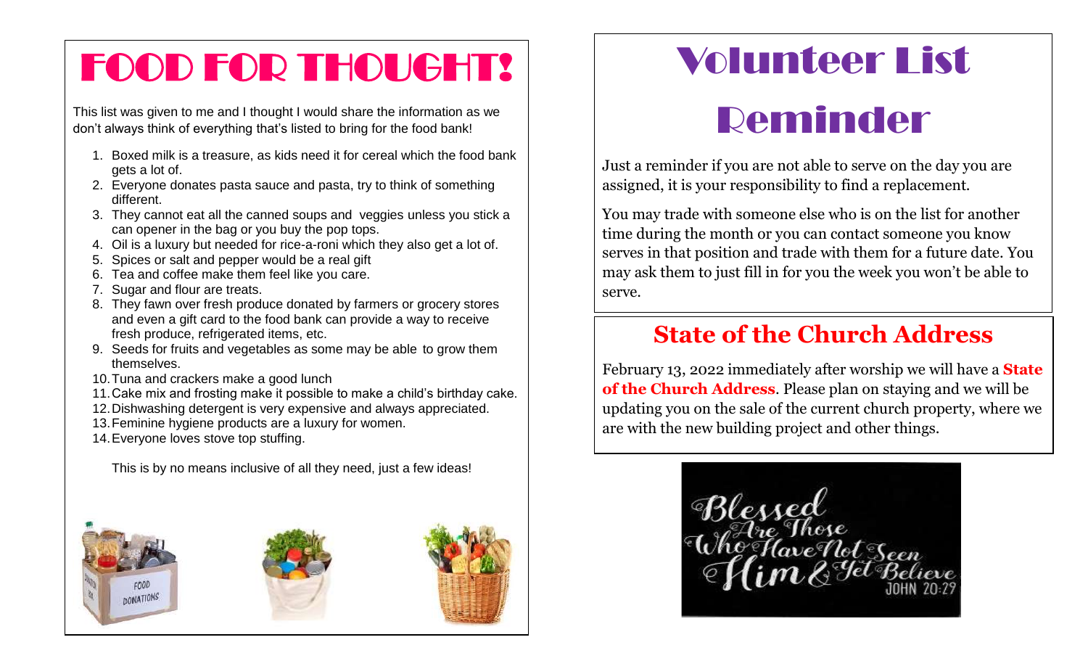# FOOD FOR THOUGHT!

This list was given to me and I thought I would share the information as we don't always think of everything that's listed to bring for the food bank!

- 1. Boxed milk is a treasure, as kids need it for cereal which the food bank gets a lot of.
- 2. Everyone donates pasta sauce and pasta, try to think of something different.
- 3. They cannot eat all the canned soups and veggies unless you stick a can opener in the bag or you buy the pop tops.
- 4. Oil is a luxury but needed for rice-a-roni which they also get a lot of.
- 5. Spices or salt and pepper would be a real gift
- 6. Tea and coffee make them feel like you care.
- 7. Sugar and flour are treats.
- 8. They fawn over fresh produce donated by farmers or grocery stores and even a gift card to the food bank can provide a way to receive fresh produce, refrigerated items, etc.
- 9. Seeds for fruits and vegetables as some may be able to grow them themselves.
- 10.Tuna and crackers make a good lunch
- 11.Cake mix and frosting make it possible to make a child's birthday cake.
- 12.Dishwashing detergent is very expensive and always appreciated.
- 13.Feminine hygiene products are a luxury for women.
- 14.Everyone loves stove top stuffing.

This is by no means inclusive of all they need, just a few ideas!



# Volunteer List

# Reminder

Just a reminder if you are not able to serve on the day you are assigned, it is your responsibility to find a replacement.

You may trade with someone else who is on the list for another time during the month or you can contact someone you know serves in that position and trade with them for a future date. You may ask them to just fill in for you the week you won't be able to serve.

## **State of the Church Address**

February 13, 2022 immediately after worship we will have a **State of the Church Address**. Please plan on staying and we will be updating you on the sale of the current church property, where we are with the new building project and other things.

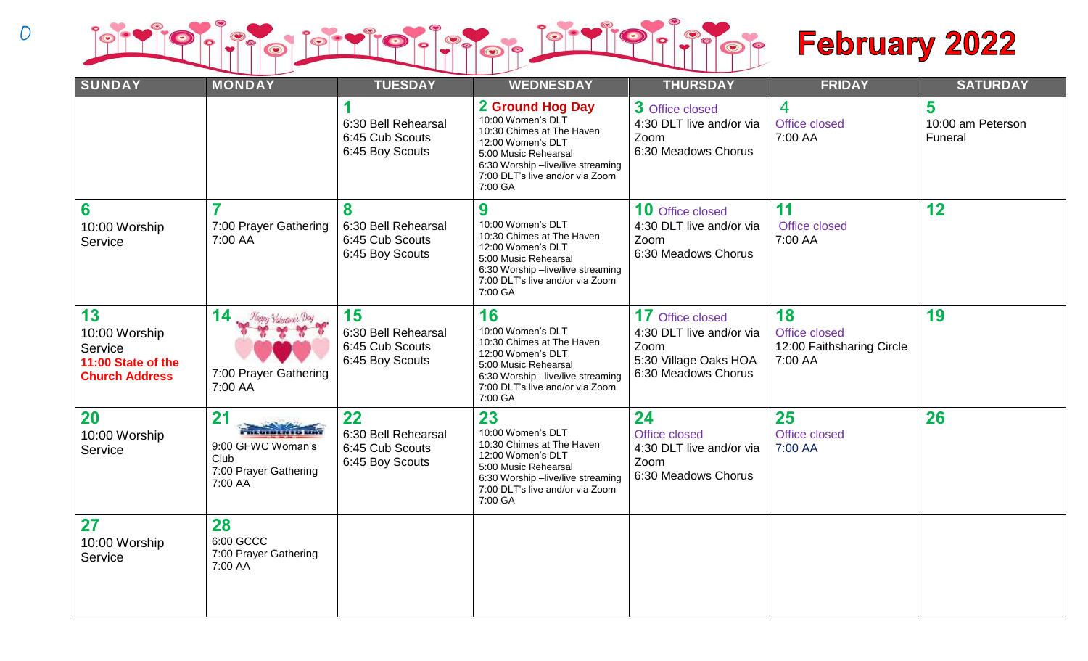

| <b>SUNDAY</b>                                                                 | <b>MONDAY</b>                                                                                         | <b>TUESDAY</b>                                                  | <b>WEDNESDAY</b>                                                                                                                                                                                   | <b>THURSDAY</b>                                                                                             | <b>FRIDAY</b>                                               | <b>SATURDAY</b>                   |
|-------------------------------------------------------------------------------|-------------------------------------------------------------------------------------------------------|-----------------------------------------------------------------|----------------------------------------------------------------------------------------------------------------------------------------------------------------------------------------------------|-------------------------------------------------------------------------------------------------------------|-------------------------------------------------------------|-----------------------------------|
|                                                                               |                                                                                                       | 6:30 Bell Rehearsal<br>6:45 Cub Scouts<br>6:45 Boy Scouts       | 2 Ground Hog Day<br>10:00 Women's DLT<br>10:30 Chimes at The Haven<br>12:00 Women's DLT<br>5:00 Music Rehearsal<br>6:30 Worship -live/live streaming<br>7:00 DLT's live and/or via Zoom<br>7:00 GA | 3 Office closed<br>4:30 DLT live and/or via<br>Zoom<br>6:30 Meadows Chorus                                  | $\overline{4}$<br>Office closed<br>7:00 AA                  | 5<br>10:00 am Peterson<br>Funeral |
| 6<br>10:00 Worship<br>Service                                                 | 7<br>7:00 Prayer Gathering<br>7:00 AA                                                                 | 8<br>6:30 Bell Rehearsal<br>6:45 Cub Scouts<br>6:45 Boy Scouts  | 9<br>10:00 Women's DLT<br>10:30 Chimes at The Haven<br>12:00 Women's DLT<br>5:00 Music Rehearsal<br>6:30 Worship -live/live streaming<br>7:00 DLT's live and/or via Zoom<br>7:00 GA                | <b>10</b> Office closed<br>4:30 DLT live and/or via<br>Zoom<br>6:30 Meadows Chorus                          | 11<br>Office closed<br>7:00 AA                              | 12                                |
| 13<br>10:00 Worship<br>Service<br>11:00 State of the<br><b>Church Address</b> | 14 Hoppy Valentine Doy<br>7:00 Prayer Gathering<br>7:00 AA                                            | 15<br>6:30 Bell Rehearsal<br>6:45 Cub Scouts<br>6:45 Boy Scouts | 16<br>10:00 Women's DLT<br>10:30 Chimes at The Haven<br>12:00 Women's DLT<br>5:00 Music Rehearsal<br>6:30 Worship -live/live streaming<br>7:00 DLT's live and/or via Zoom<br>7:00 GA               | <b>17</b> Office closed<br>4:30 DLT live and/or via<br>Zoom<br>5:30 Village Oaks HOA<br>6:30 Meadows Chorus | 18<br>Office closed<br>12:00 Faithsharing Circle<br>7:00 AA | 19                                |
| <b>20</b><br>10:00 Worship<br>Service                                         | 21<br><b>Part and District Links</b><br>9:00 GFWC Woman's<br>Club<br>7:00 Prayer Gathering<br>7:00 AA | 22<br>6:30 Bell Rehearsal<br>6:45 Cub Scouts<br>6:45 Boy Scouts | 23<br>10:00 Women's DLT<br>10:30 Chimes at The Haven<br>12:00 Women's DLT<br>5:00 Music Rehearsal<br>6:30 Worship -live/live streaming<br>7:00 DLT's live and/or via Zoom<br>7:00 GA               | 24<br>Office closed<br>4:30 DLT live and/or via<br>Zoom<br>6:30 Meadows Chorus                              | 25<br>Office closed<br>7:00 AA                              | 26                                |
| 27<br>10:00 Worship<br>Service                                                | 28<br>6:00 GCCC<br>7:00 Prayer Gathering<br>7:00 AA                                                   |                                                                 |                                                                                                                                                                                                    |                                                                                                             |                                                             |                                   |